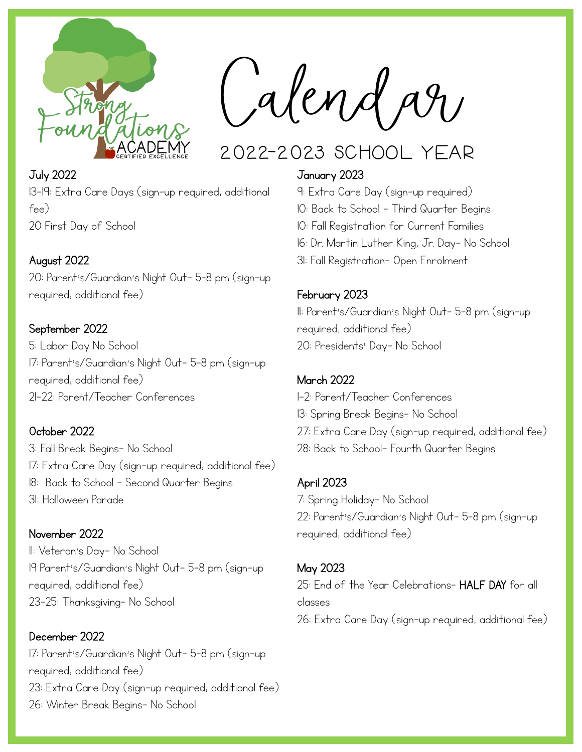

Calendar

# 2022-2023 School Year

## July 2022 13-19: Extra Care Days (sign-up required, additional fee) 20 First Day of School

## August 2022

20: Parent's/Guardian's Night Out- 5-8 pm (sign-up required, additional fee)

### September 2022

5: Labor Day No School 17: Parent's/Guardian's Night Out- 5-8 pm (sign-up required, additional fee) 21-22: Parent/Teacher Conferences

#### October 2022

3: Fall Break Begins- No School 17: Extra Care Day (sign-up required, additional fee) 18: Back to School – Second Quarter Begins 31: Halloween Parade

#### November 2022

11: Veteran's Day- No School 19 Parent's/Guardian's Night Out- 5-8 pm (sign-up required, additional fee) 23-25: Thanksgiving- No School

December 2022 17: Parent's/Guardian's Night Out- 5-8 pm (sign-up required, additional fee) 23: Extra Care Day (sign-up required, additional fee) 26: Winter Break Begins- No School

#### January 2023

- 9: Extra Care Day (sign-up required)
- 10: Back to School Third Quarter Begins
- 10: Fall Registration for Current Families
- 16: Dr. Martin Luther King, Jr. Day- No School
- 31: Fall Registration- Open Enrolment

#### February 2023

11: Parent's/Guardian's Night Out- 5-8 pm (sign-up required, additional fee) 20: Presidents' Day- No School

#### March 2022

1-2: Parent/Teacher Conferences 13: Spring Break Begins- No School 27: Extra Care Day (sign-up required, additional fee) 28: Back to School- Fourth Quarter Begins

#### April 2023

7: Spring Holiday- No School 22: Parent's/Guardian's Night Out- 5-8 pm (sign-up required, additional fee)

#### May 2023

25: End of the Year Celebrations- HALF DAY for all classes 26: Extra Care Day (sign-up required, additional fee)